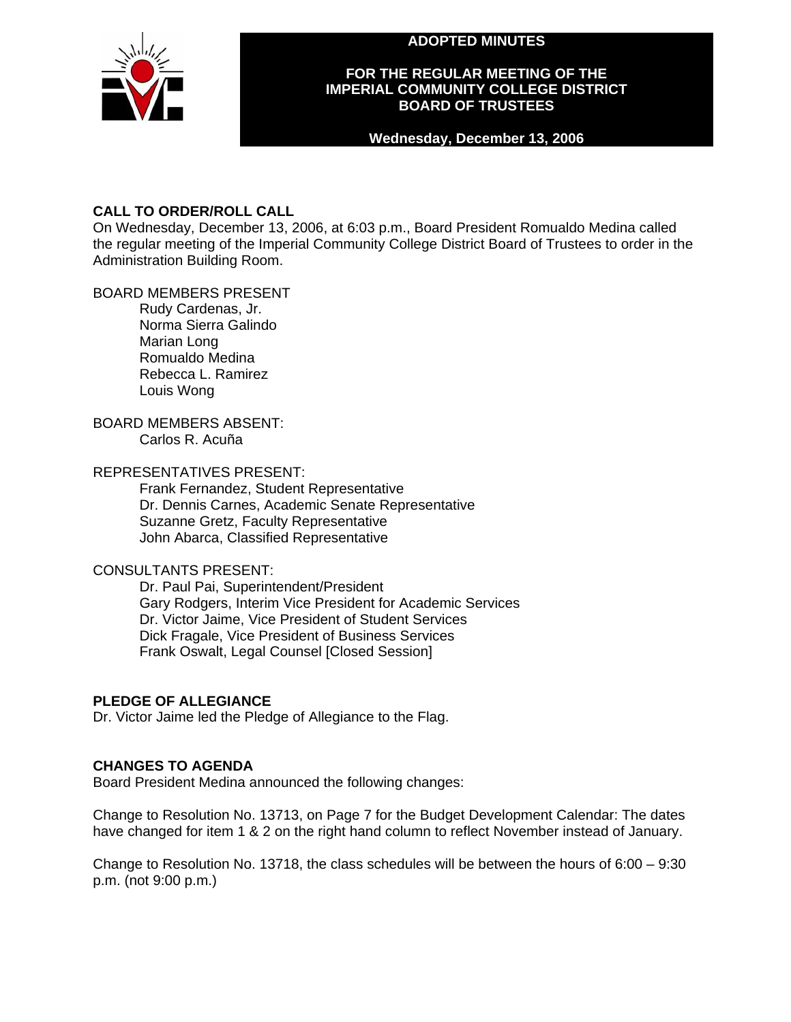**ADOPTED MINUTES** 



## **FOR THE REGULAR MEETING OF THE IMPERIAL COMMUNITY COLLEGE DISTRICT BOARD OF TRUSTEES**

## **Wednesday, December 13, 2006**

# **CALL TO ORDER/ROLL CALL**

On Wednesday, December 13, 2006, at 6:03 p.m., Board President Romualdo Medina called the regular meeting of the Imperial Community College District Board of Trustees to order in the Administration Building Room.

# BOARD MEMBERS PRESENT

Rudy Cardenas, Jr. Norma Sierra Galindo Marian Long Romualdo Medina Rebecca L. Ramirez Louis Wong

# BOARD MEMBERS ABSENT:

Carlos R. Acuña

# REPRESENTATIVES PRESENT:

Frank Fernandez, Student Representative Dr. Dennis Carnes, Academic Senate Representative Suzanne Gretz, Faculty Representative John Abarca, Classified Representative

# CONSULTANTS PRESENT:

Dr. Paul Pai, Superintendent/President Gary Rodgers, Interim Vice President for Academic Services Dr. Victor Jaime, Vice President of Student Services Dick Fragale, Vice President of Business Services Frank Oswalt, Legal Counsel [Closed Session]

# **PLEDGE OF ALLEGIANCE**

Dr. Victor Jaime led the Pledge of Allegiance to the Flag.

# **CHANGES TO AGENDA**

Board President Medina announced the following changes:

Change to Resolution No. 13713, on Page 7 for the Budget Development Calendar: The dates have changed for item 1 & 2 on the right hand column to reflect November instead of January.

Change to Resolution No. 13718, the class schedules will be between the hours of 6:00 – 9:30 p.m. (not 9:00 p.m.)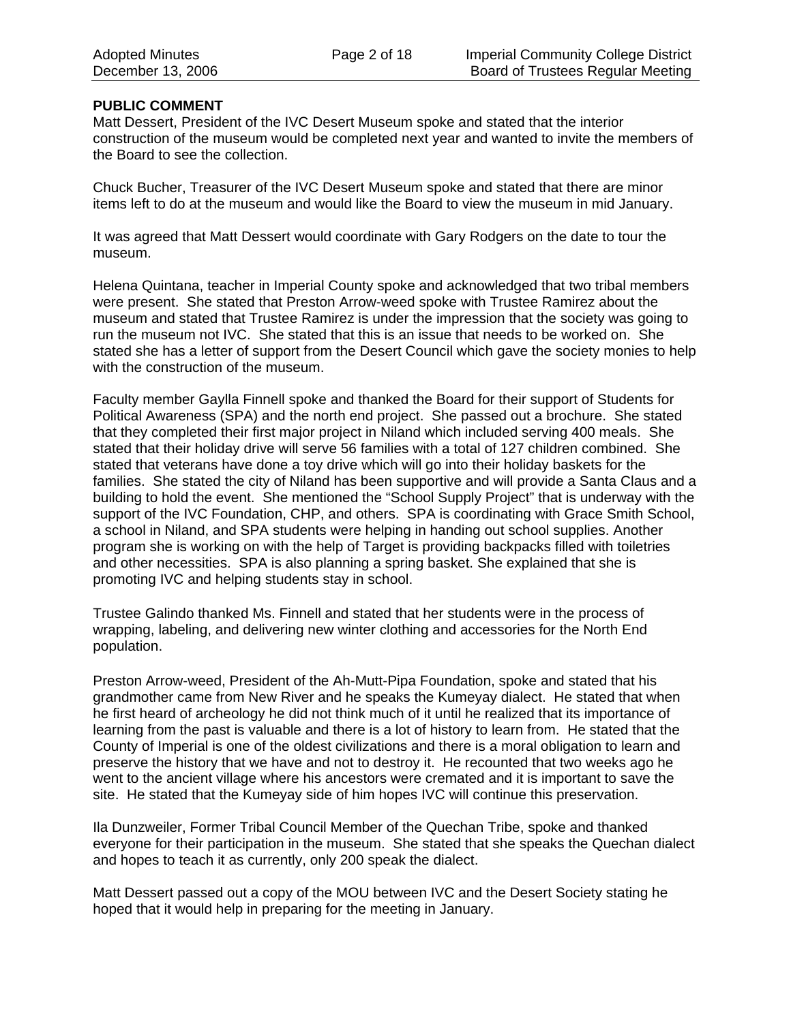# **PUBLIC COMMENT**

Matt Dessert, President of the IVC Desert Museum spoke and stated that the interior construction of the museum would be completed next year and wanted to invite the members of the Board to see the collection.

Chuck Bucher, Treasurer of the IVC Desert Museum spoke and stated that there are minor items left to do at the museum and would like the Board to view the museum in mid January.

It was agreed that Matt Dessert would coordinate with Gary Rodgers on the date to tour the museum.

Helena Quintana, teacher in Imperial County spoke and acknowledged that two tribal members were present. She stated that Preston Arrow-weed spoke with Trustee Ramirez about the museum and stated that Trustee Ramirez is under the impression that the society was going to run the museum not IVC. She stated that this is an issue that needs to be worked on. She stated she has a letter of support from the Desert Council which gave the society monies to help with the construction of the museum.

Faculty member Gaylla Finnell spoke and thanked the Board for their support of Students for Political Awareness (SPA) and the north end project. She passed out a brochure. She stated that they completed their first major project in Niland which included serving 400 meals. She stated that their holiday drive will serve 56 families with a total of 127 children combined. She stated that veterans have done a toy drive which will go into their holiday baskets for the families. She stated the city of Niland has been supportive and will provide a Santa Claus and a building to hold the event. She mentioned the "School Supply Project" that is underway with the support of the IVC Foundation, CHP, and others. SPA is coordinating with Grace Smith School, a school in Niland, and SPA students were helping in handing out school supplies. Another program she is working on with the help of Target is providing backpacks filled with toiletries and other necessities. SPA is also planning a spring basket. She explained that she is promoting IVC and helping students stay in school.

Trustee Galindo thanked Ms. Finnell and stated that her students were in the process of wrapping, labeling, and delivering new winter clothing and accessories for the North End population.

Preston Arrow-weed, President of the Ah-Mutt-Pipa Foundation, spoke and stated that his grandmother came from New River and he speaks the Kumeyay dialect. He stated that when he first heard of archeology he did not think much of it until he realized that its importance of learning from the past is valuable and there is a lot of history to learn from. He stated that the County of Imperial is one of the oldest civilizations and there is a moral obligation to learn and preserve the history that we have and not to destroy it. He recounted that two weeks ago he went to the ancient village where his ancestors were cremated and it is important to save the site. He stated that the Kumeyay side of him hopes IVC will continue this preservation.

Ila Dunzweiler, Former Tribal Council Member of the Quechan Tribe, spoke and thanked everyone for their participation in the museum. She stated that she speaks the Quechan dialect and hopes to teach it as currently, only 200 speak the dialect.

Matt Dessert passed out a copy of the MOU between IVC and the Desert Society stating he hoped that it would help in preparing for the meeting in January.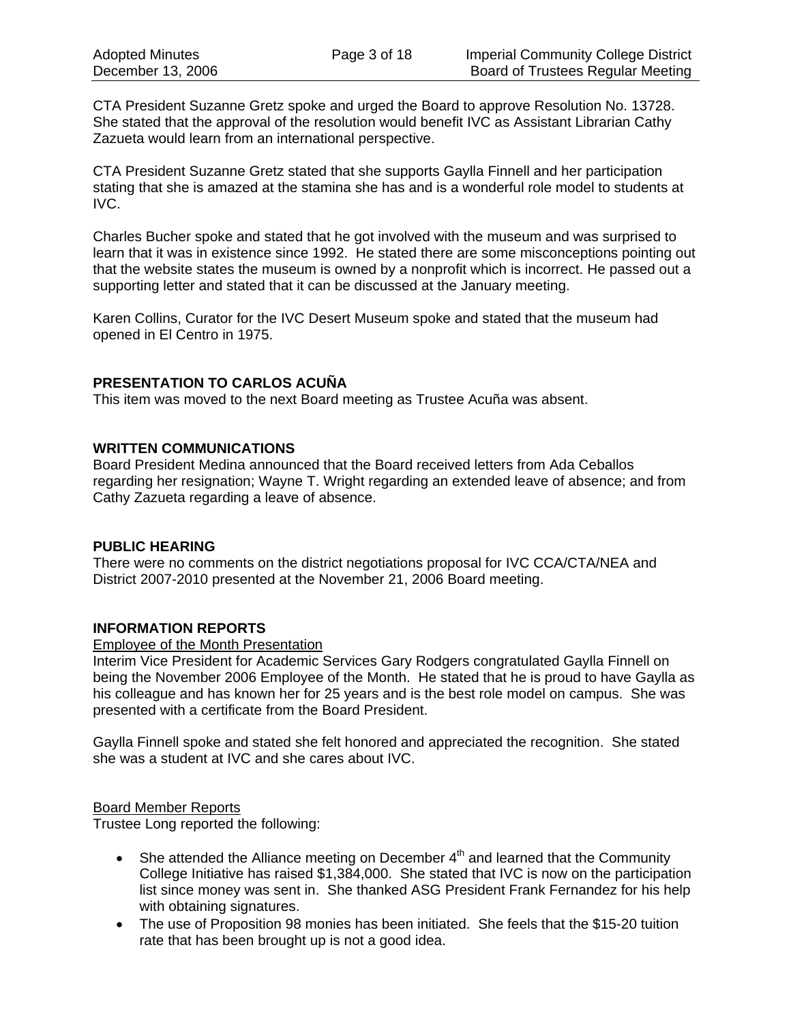CTA President Suzanne Gretz spoke and urged the Board to approve Resolution No. 13728. She stated that the approval of the resolution would benefit IVC as Assistant Librarian Cathy Zazueta would learn from an international perspective.

CTA President Suzanne Gretz stated that she supports Gaylla Finnell and her participation stating that she is amazed at the stamina she has and is a wonderful role model to students at IVC.

Charles Bucher spoke and stated that he got involved with the museum and was surprised to learn that it was in existence since 1992. He stated there are some misconceptions pointing out that the website states the museum is owned by a nonprofit which is incorrect. He passed out a supporting letter and stated that it can be discussed at the January meeting.

Karen Collins, Curator for the IVC Desert Museum spoke and stated that the museum had opened in El Centro in 1975.

# **PRESENTATION TO CARLOS ACUÑA**

This item was moved to the next Board meeting as Trustee Acuña was absent.

## **WRITTEN COMMUNICATIONS**

Board President Medina announced that the Board received letters from Ada Ceballos regarding her resignation; Wayne T. Wright regarding an extended leave of absence; and from Cathy Zazueta regarding a leave of absence.

## **PUBLIC HEARING**

There were no comments on the district negotiations proposal for IVC CCA/CTA/NEA and District 2007-2010 presented at the November 21, 2006 Board meeting.

## **INFORMATION REPORTS**

Employee of the Month Presentation

Interim Vice President for Academic Services Gary Rodgers congratulated Gaylla Finnell on being the November 2006 Employee of the Month. He stated that he is proud to have Gaylla as his colleague and has known her for 25 years and is the best role model on campus. She was presented with a certificate from the Board President.

Gaylla Finnell spoke and stated she felt honored and appreciated the recognition. She stated she was a student at IVC and she cares about IVC.

## Board Member Reports

Trustee Long reported the following:

- She attended the Alliance meeting on December  $4<sup>th</sup>$  and learned that the Community College Initiative has raised \$1,384,000. She stated that IVC is now on the participation list since money was sent in. She thanked ASG President Frank Fernandez for his help with obtaining signatures.
- The use of Proposition 98 monies has been initiated. She feels that the \$15-20 tuition rate that has been brought up is not a good idea.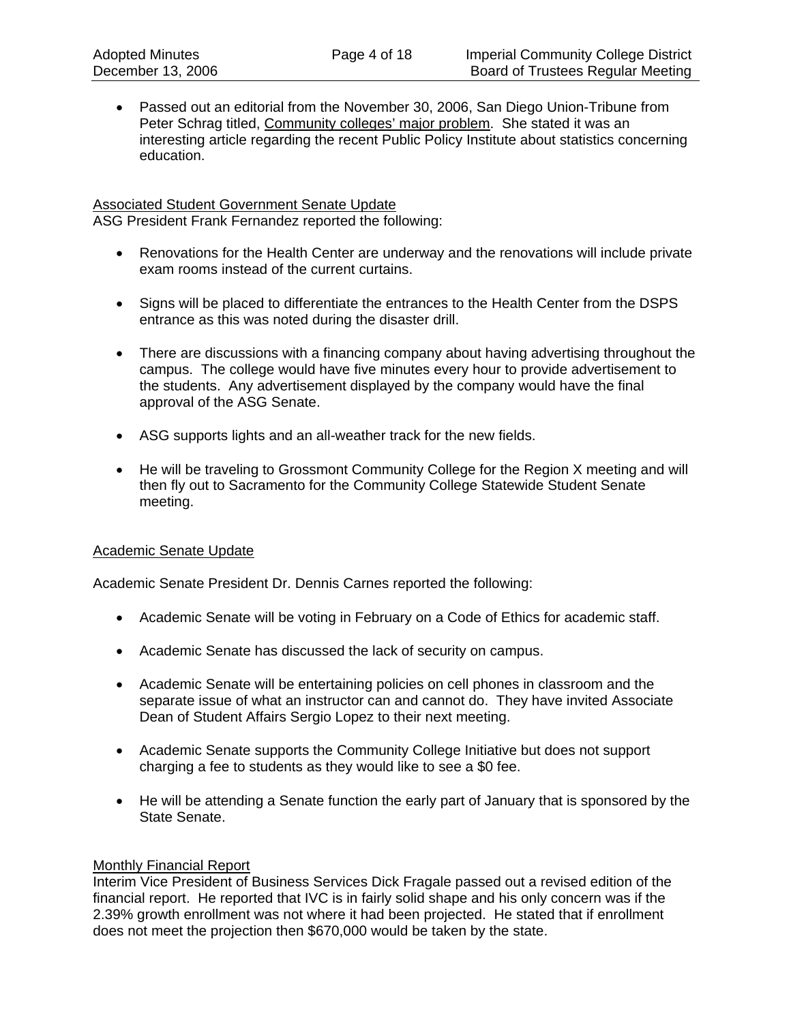Passed out an editorial from the November 30, 2006, San Diego Union-Tribune from Peter Schrag titled, Community colleges' major problem. She stated it was an interesting article regarding the recent Public Policy Institute about statistics concerning education.

## **Associated Student Government Senate Update**

ASG President Frank Fernandez reported the following:

- Renovations for the Health Center are underway and the renovations will include private exam rooms instead of the current curtains.
- Signs will be placed to differentiate the entrances to the Health Center from the DSPS entrance as this was noted during the disaster drill.
- There are discussions with a financing company about having advertising throughout the campus. The college would have five minutes every hour to provide advertisement to the students. Any advertisement displayed by the company would have the final approval of the ASG Senate.
- ASG supports lights and an all-weather track for the new fields.
- He will be traveling to Grossmont Community College for the Region X meeting and will then fly out to Sacramento for the Community College Statewide Student Senate meeting.

## Academic Senate Update

Academic Senate President Dr. Dennis Carnes reported the following:

- Academic Senate will be voting in February on a Code of Ethics for academic staff.
- Academic Senate has discussed the lack of security on campus.
- Academic Senate will be entertaining policies on cell phones in classroom and the separate issue of what an instructor can and cannot do. They have invited Associate Dean of Student Affairs Sergio Lopez to their next meeting.
- Academic Senate supports the Community College Initiative but does not support charging a fee to students as they would like to see a \$0 fee.
- He will be attending a Senate function the early part of January that is sponsored by the State Senate.

## **Monthly Financial Report**

Interim Vice President of Business Services Dick Fragale passed out a revised edition of the financial report. He reported that IVC is in fairly solid shape and his only concern was if the 2.39% growth enrollment was not where it had been projected. He stated that if enrollment does not meet the projection then \$670,000 would be taken by the state.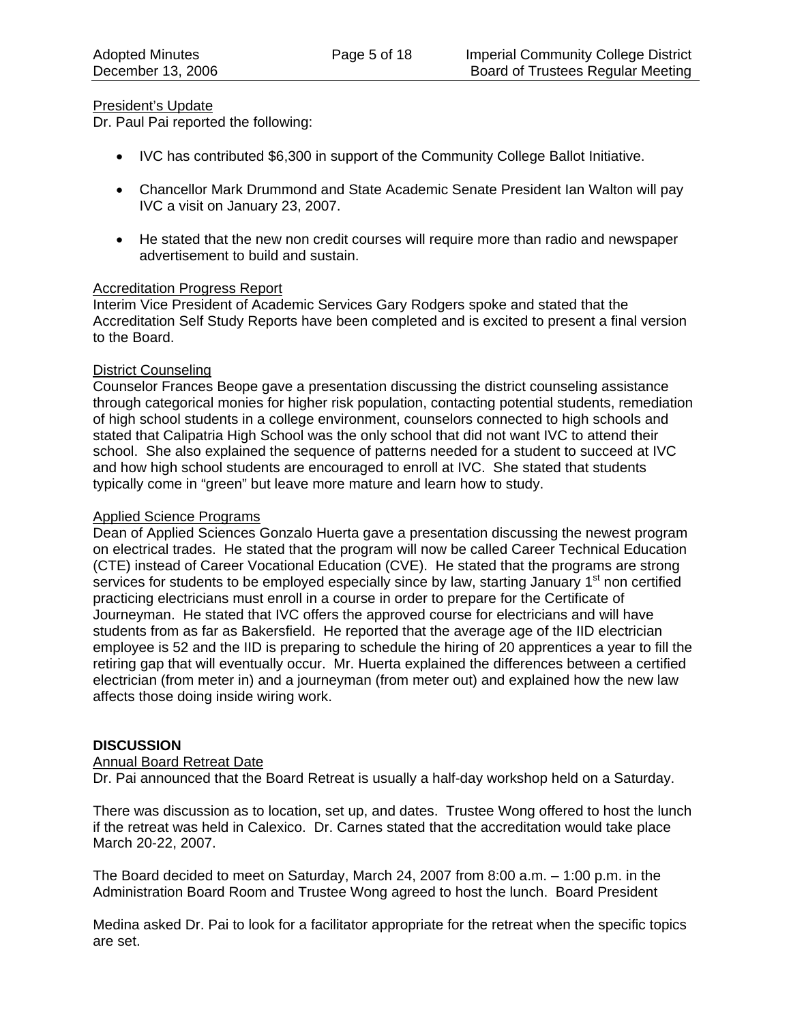## President's Update

Dr. Paul Pai reported the following:

- IVC has contributed \$6,300 in support of the Community College Ballot Initiative.
- Chancellor Mark Drummond and State Academic Senate President Ian Walton will pay IVC a visit on January 23, 2007.
- He stated that the new non credit courses will require more than radio and newspaper advertisement to build and sustain.

## Accreditation Progress Report

Interim Vice President of Academic Services Gary Rodgers spoke and stated that the Accreditation Self Study Reports have been completed and is excited to present a final version to the Board.

## District Counseling

Counselor Frances Beope gave a presentation discussing the district counseling assistance through categorical monies for higher risk population, contacting potential students, remediation of high school students in a college environment, counselors connected to high schools and stated that Calipatria High School was the only school that did not want IVC to attend their school. She also explained the sequence of patterns needed for a student to succeed at IVC and how high school students are encouraged to enroll at IVC. She stated that students typically come in "green" but leave more mature and learn how to study.

## Applied Science Programs

Dean of Applied Sciences Gonzalo Huerta gave a presentation discussing the newest program on electrical trades. He stated that the program will now be called Career Technical Education (CTE) instead of Career Vocational Education (CVE). He stated that the programs are strong services for students to be employed especially since by law, starting January 1<sup>st</sup> non certified practicing electricians must enroll in a course in order to prepare for the Certificate of Journeyman. He stated that IVC offers the approved course for electricians and will have students from as far as Bakersfield. He reported that the average age of the IID electrician employee is 52 and the IID is preparing to schedule the hiring of 20 apprentices a year to fill the retiring gap that will eventually occur. Mr. Huerta explained the differences between a certified electrician (from meter in) and a journeyman (from meter out) and explained how the new law affects those doing inside wiring work.

# **DISCUSSION**

## Annual Board Retreat Date

Dr. Pai announced that the Board Retreat is usually a half-day workshop held on a Saturday.

There was discussion as to location, set up, and dates. Trustee Wong offered to host the lunch if the retreat was held in Calexico. Dr. Carnes stated that the accreditation would take place March 20-22, 2007.

The Board decided to meet on Saturday, March 24, 2007 from 8:00 a.m. – 1:00 p.m. in the Administration Board Room and Trustee Wong agreed to host the lunch. Board President

Medina asked Dr. Pai to look for a facilitator appropriate for the retreat when the specific topics are set.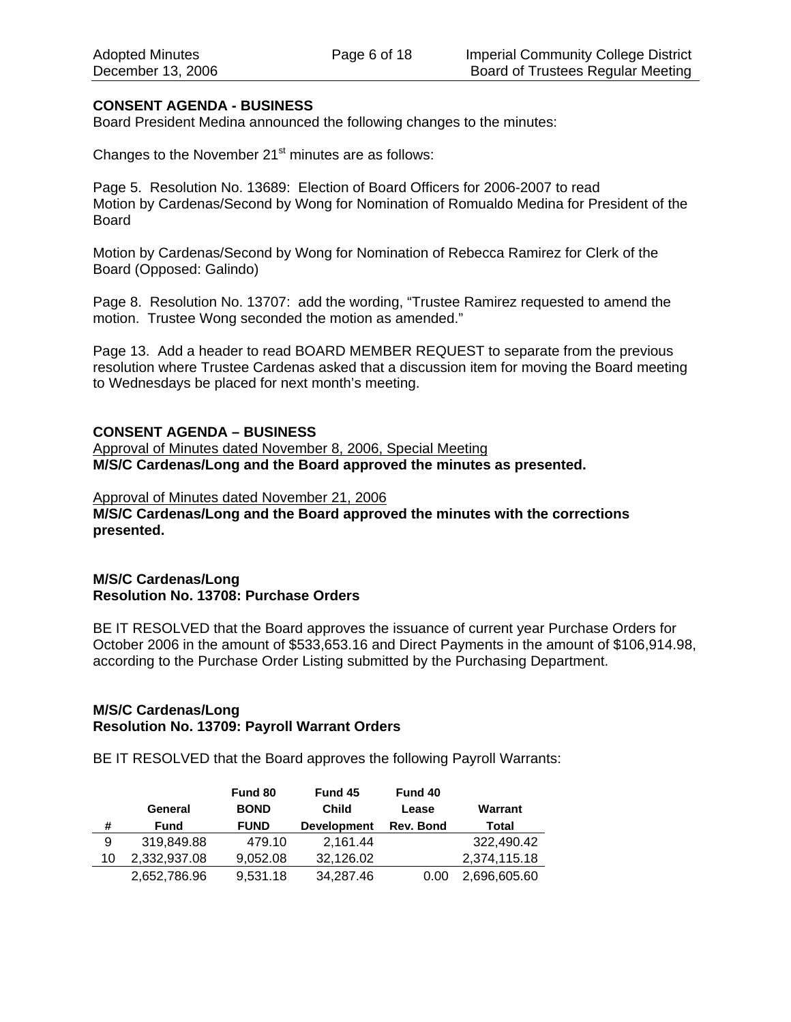## **CONSENT AGENDA - BUSINESS**

Board President Medina announced the following changes to the minutes:

Changes to the November  $21<sup>st</sup>$  minutes are as follows:

Page 5. Resolution No. 13689: Election of Board Officers for 2006-2007 to read Motion by Cardenas/Second by Wong for Nomination of Romualdo Medina for President of the Board

Motion by Cardenas/Second by Wong for Nomination of Rebecca Ramirez for Clerk of the Board (Opposed: Galindo)

Page 8. Resolution No. 13707: add the wording, "Trustee Ramirez requested to amend the motion. Trustee Wong seconded the motion as amended."

Page 13. Add a header to read BOARD MEMBER REQUEST to separate from the previous resolution where Trustee Cardenas asked that a discussion item for moving the Board meeting to Wednesdays be placed for next month's meeting.

#### **CONSENT AGENDA – BUSINESS**

Approval of Minutes dated November 8, 2006, Special Meeting **M/S/C Cardenas/Long and the Board approved the minutes as presented.** 

Approval of Minutes dated November 21, 2006 **M/S/C Cardenas/Long and the Board approved the minutes with the corrections presented.** 

## **M/S/C Cardenas/Long Resolution No. 13708: Purchase Orders**

BE IT RESOLVED that the Board approves the issuance of current year Purchase Orders for October 2006 in the amount of \$533,653.16 and Direct Payments in the amount of \$106,914.98, according to the Purchase Order Listing submitted by the Purchasing Department.

## **M/S/C Cardenas/Long Resolution No. 13709: Payroll Warrant Orders**

BE IT RESOLVED that the Board approves the following Payroll Warrants:

|    |              | Fund 80     | Fund 45            | Fund 40   |              |
|----|--------------|-------------|--------------------|-----------|--------------|
|    | General      | <b>BOND</b> | <b>Child</b>       | Lease     | Warrant      |
| #  | <b>Fund</b>  | <b>FUND</b> | <b>Development</b> | Rev. Bond | Total        |
| 9  | 319.849.88   | 479.10      | 2,161.44           |           | 322,490.42   |
| 10 | 2,332,937.08 | 9.052.08    | 32,126.02          |           | 2,374,115.18 |
|    | 2,652,786.96 | 9,531.18    | 34,287.46          | 0.00      | 2,696,605.60 |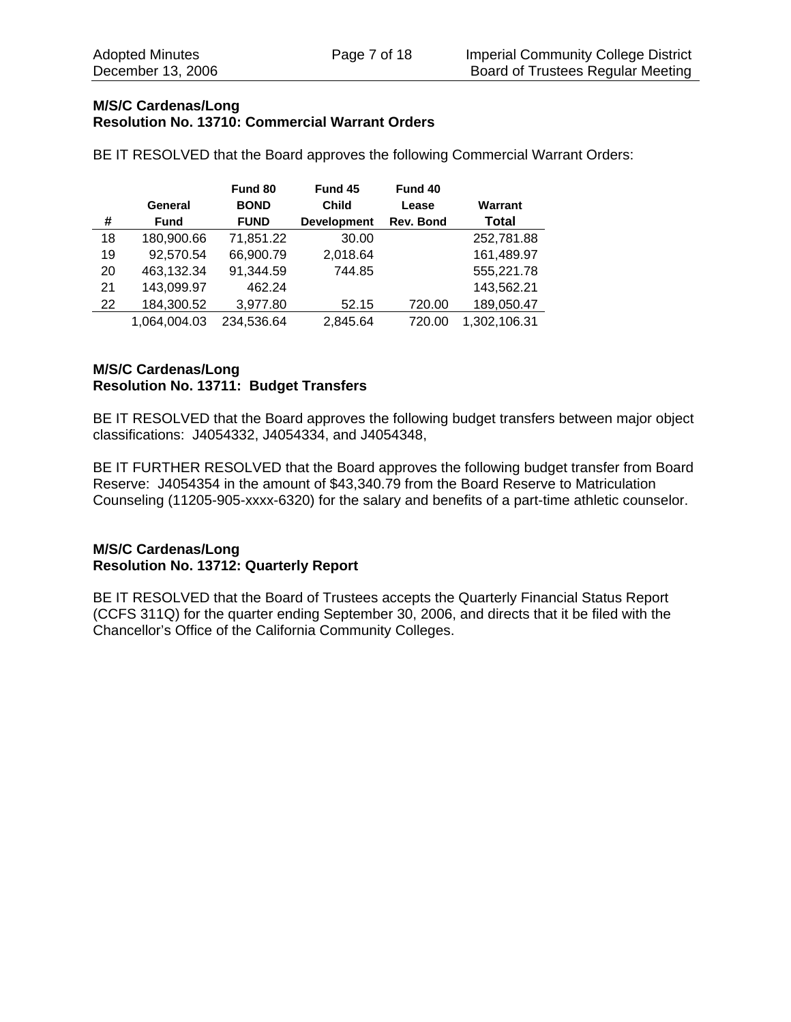## **M/S/C Cardenas/Long Resolution No. 13710: Commercial Warrant Orders**

BE IT RESOLVED that the Board approves the following Commercial Warrant Orders:

|    |              | Fund 80     | Fund 45            | Fund 40   |              |
|----|--------------|-------------|--------------------|-----------|--------------|
|    | General      | <b>BOND</b> | <b>Child</b>       | Lease     | Warrant      |
| #  | <b>Fund</b>  | <b>FUND</b> | <b>Development</b> | Rev. Bond | <b>Total</b> |
| 18 | 180,900.66   | 71,851.22   | 30.00              |           | 252,781.88   |
| 19 | 92,570.54    | 66,900.79   | 2,018.64           |           | 161,489.97   |
| 20 | 463,132.34   | 91,344.59   | 744.85             |           | 555,221.78   |
| 21 | 143,099.97   | 462.24      |                    |           | 143,562.21   |
| 22 | 184,300.52   | 3,977.80    | 52.15              | 720.00    | 189,050.47   |
|    | 1,064,004.03 | 234,536.64  | 2,845.64           | 720.00    | 1,302,106.31 |

# **M/S/C Cardenas/Long Resolution No. 13711: Budget Transfers**

BE IT RESOLVED that the Board approves the following budget transfers between major object classifications: J4054332, J4054334, and J4054348,

BE IT FURTHER RESOLVED that the Board approves the following budget transfer from Board Reserve: J4054354 in the amount of \$43,340.79 from the Board Reserve to Matriculation Counseling (11205-905-xxxx-6320) for the salary and benefits of a part-time athletic counselor.

## **M/S/C Cardenas/Long Resolution No. 13712: Quarterly Report**

BE IT RESOLVED that the Board of Trustees accepts the Quarterly Financial Status Report (CCFS 311Q) for the quarter ending September 30, 2006, and directs that it be filed with the Chancellor's Office of the California Community Colleges.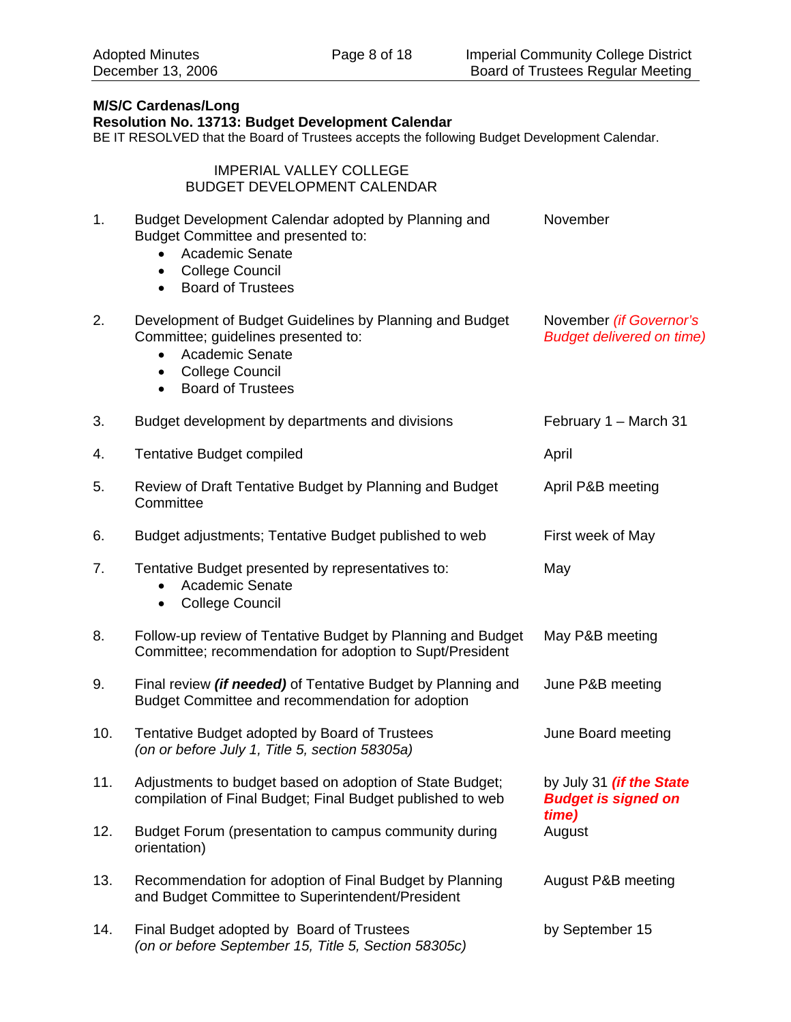## **M/S/C Cardenas/Long Resolution No. 13713: Budget Development Calendar**  BE IT RESOLVED that the Board of Trustees accepts the following Budget Development Calendar. IMPERIAL VALLEY COLLEGE BUDGET DEVELOPMENT CALENDAR 1. Budget Development Calendar adopted by Planning and Budget Committee and presented to: • Academic Senate • College Council • Board of Trustees November 2. Development of Budget Guidelines by Planning and Budget Committee; guidelines presented to: • Academic Senate • College Council • Board of Trustees November *(if Governor's Budget delivered on time)* 3. Budget development by departments and divisions February 1 – March 31 4. Tentative Budget compiled **April** 2014 12:30 April 5. Review of Draft Tentative Budget by Planning and Budget **Committee** April P&B meeting 6. Budget adjustments; Tentative Budget published to web First week of May 7. Tentative Budget presented by representatives to: • Academic Senate • College Council May 8. Follow-up review of Tentative Budget by Planning and Budget Committee; recommendation for adoption to Supt/President May P&B meeting 9. Final review *(if needed)* of Tentative Budget by Planning and Budget Committee and recommendation for adoption June P&B meeting 10. Tentative Budget adopted by Board of Trustees *(on or before July 1, Title 5, section 58305a)* June Board meeting 11. Adjustments to budget based on adoption of State Budget; compilation of Final Budget; Final Budget published to web by July 31 *(if the State Budget is signed on time)*  12. Budget Forum (presentation to campus community during orientation) August 13. Recommendation for adoption of Final Budget by Planning and Budget Committee to Superintendent/President August P&B meeting 14. Final Budget adopted by Board of Trustees by September 15

*(on or before September 15, Title 5, Section 58305c)*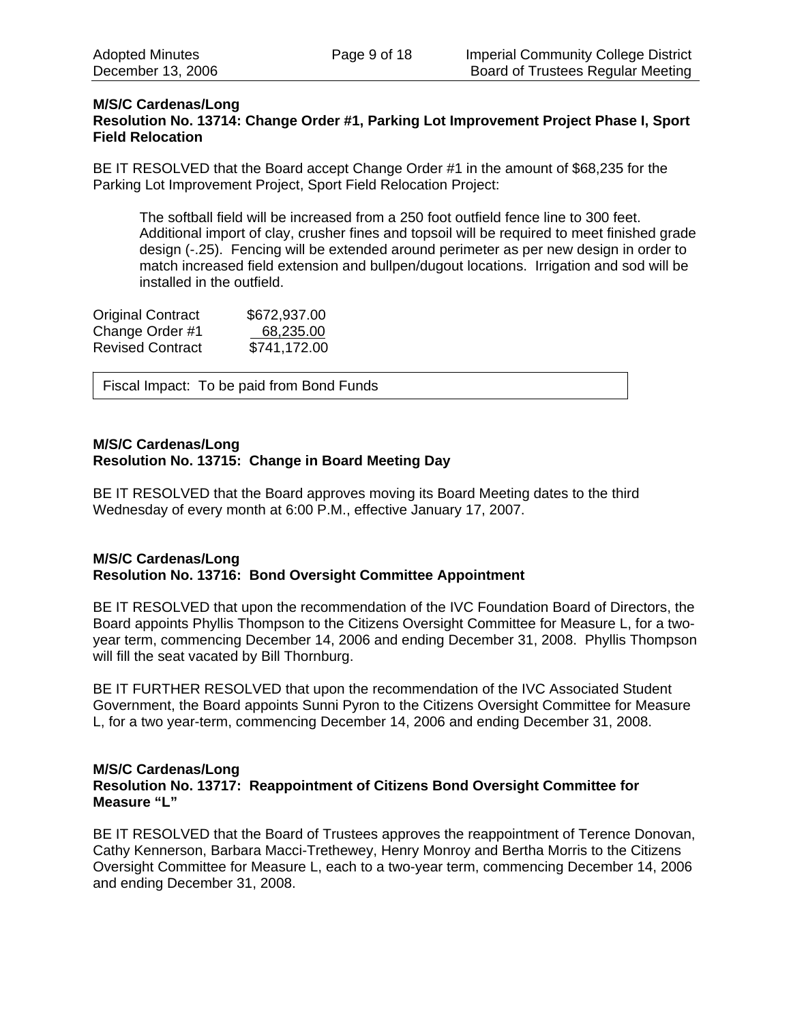## **M/S/C Cardenas/Long Resolution No. 13714: Change Order #1, Parking Lot Improvement Project Phase I, Sport Field Relocation**

BE IT RESOLVED that the Board accept Change Order #1 in the amount of \$68,235 for the Parking Lot Improvement Project, Sport Field Relocation Project:

The softball field will be increased from a 250 foot outfield fence line to 300 feet. Additional import of clay, crusher fines and topsoil will be required to meet finished grade design (-.25). Fencing will be extended around perimeter as per new design in order to match increased field extension and bullpen/dugout locations. Irrigation and sod will be installed in the outfield.

| <b>Original Contract</b> | \$672,937.00 |
|--------------------------|--------------|
| Change Order #1          | 68,235.00    |
| <b>Revised Contract</b>  | \$741,172.00 |

Fiscal Impact: To be paid from Bond Funds

## **M/S/C Cardenas/Long Resolution No. 13715: Change in Board Meeting Day**

BE IT RESOLVED that the Board approves moving its Board Meeting dates to the third Wednesday of every month at 6:00 P.M., effective January 17, 2007.

# **M/S/C Cardenas/Long Resolution No. 13716: Bond Oversight Committee Appointment**

BE IT RESOLVED that upon the recommendation of the IVC Foundation Board of Directors, the Board appoints Phyllis Thompson to the Citizens Oversight Committee for Measure L, for a twoyear term, commencing December 14, 2006 and ending December 31, 2008. Phyllis Thompson will fill the seat vacated by Bill Thornburg.

BE IT FURTHER RESOLVED that upon the recommendation of the IVC Associated Student Government, the Board appoints Sunni Pyron to the Citizens Oversight Committee for Measure L, for a two year-term, commencing December 14, 2006 and ending December 31, 2008.

#### **M/S/C Cardenas/Long Resolution No. 13717: Reappointment of Citizens Bond Oversight Committee for Measure "L"**

BE IT RESOLVED that the Board of Trustees approves the reappointment of Terence Donovan, Cathy Kennerson, Barbara Macci-Trethewey, Henry Monroy and Bertha Morris to the Citizens Oversight Committee for Measure L, each to a two-year term, commencing December 14, 2006 and ending December 31, 2008.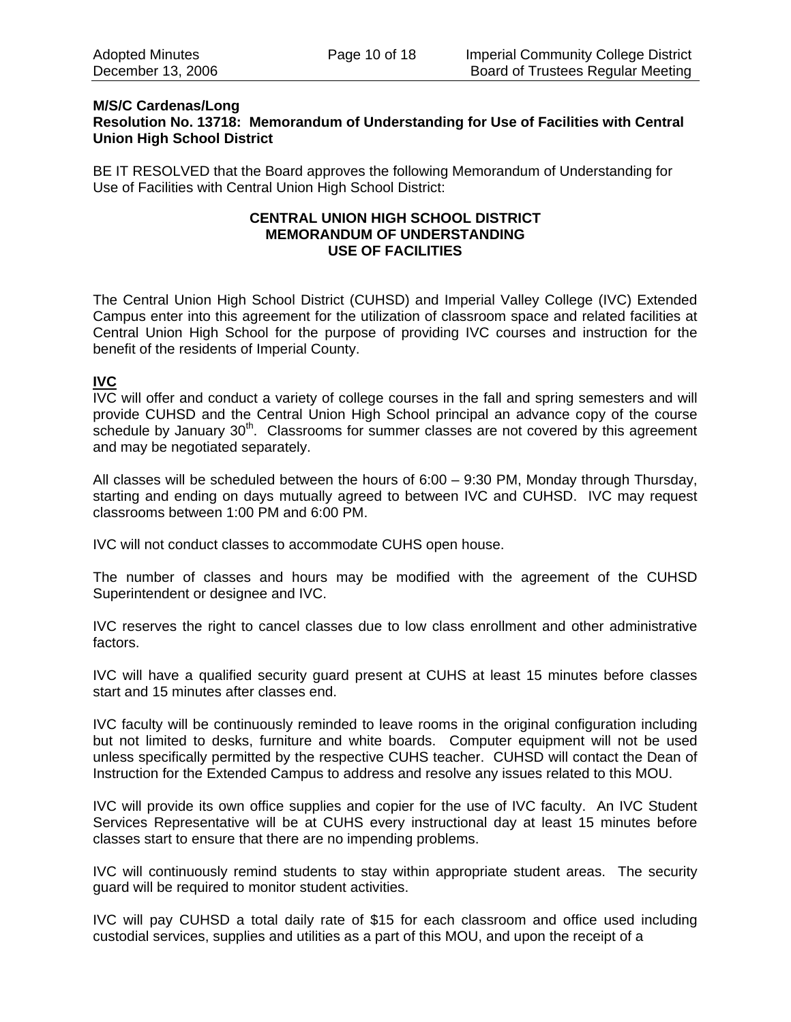#### **M/S/C Cardenas/Long Resolution No. 13718: Memorandum of Understanding for Use of Facilities with Central Union High School District**

BE IT RESOLVED that the Board approves the following Memorandum of Understanding for Use of Facilities with Central Union High School District:

#### **CENTRAL UNION HIGH SCHOOL DISTRICT MEMORANDUM OF UNDERSTANDING USE OF FACILITIES**

The Central Union High School District (CUHSD) and Imperial Valley College (IVC) Extended Campus enter into this agreement for the utilization of classroom space and related facilities at Central Union High School for the purpose of providing IVC courses and instruction for the benefit of the residents of Imperial County.

# **IVC**

IVC will offer and conduct a variety of college courses in the fall and spring semesters and will provide CUHSD and the Central Union High School principal an advance copy of the course schedule by January  $30<sup>th</sup>$ . Classrooms for summer classes are not covered by this agreement and may be negotiated separately.

All classes will be scheduled between the hours of 6:00 – 9:30 PM, Monday through Thursday, starting and ending on days mutually agreed to between IVC and CUHSD. IVC may request classrooms between 1:00 PM and 6:00 PM.

IVC will not conduct classes to accommodate CUHS open house.

The number of classes and hours may be modified with the agreement of the CUHSD Superintendent or designee and IVC.

IVC reserves the right to cancel classes due to low class enrollment and other administrative factors.

IVC will have a qualified security guard present at CUHS at least 15 minutes before classes start and 15 minutes after classes end.

IVC faculty will be continuously reminded to leave rooms in the original configuration including but not limited to desks, furniture and white boards. Computer equipment will not be used unless specifically permitted by the respective CUHS teacher. CUHSD will contact the Dean of Instruction for the Extended Campus to address and resolve any issues related to this MOU.

IVC will provide its own office supplies and copier for the use of IVC faculty. An IVC Student Services Representative will be at CUHS every instructional day at least 15 minutes before classes start to ensure that there are no impending problems.

IVC will continuously remind students to stay within appropriate student areas. The security guard will be required to monitor student activities.

IVC will pay CUHSD a total daily rate of \$15 for each classroom and office used including custodial services, supplies and utilities as a part of this MOU, and upon the receipt of a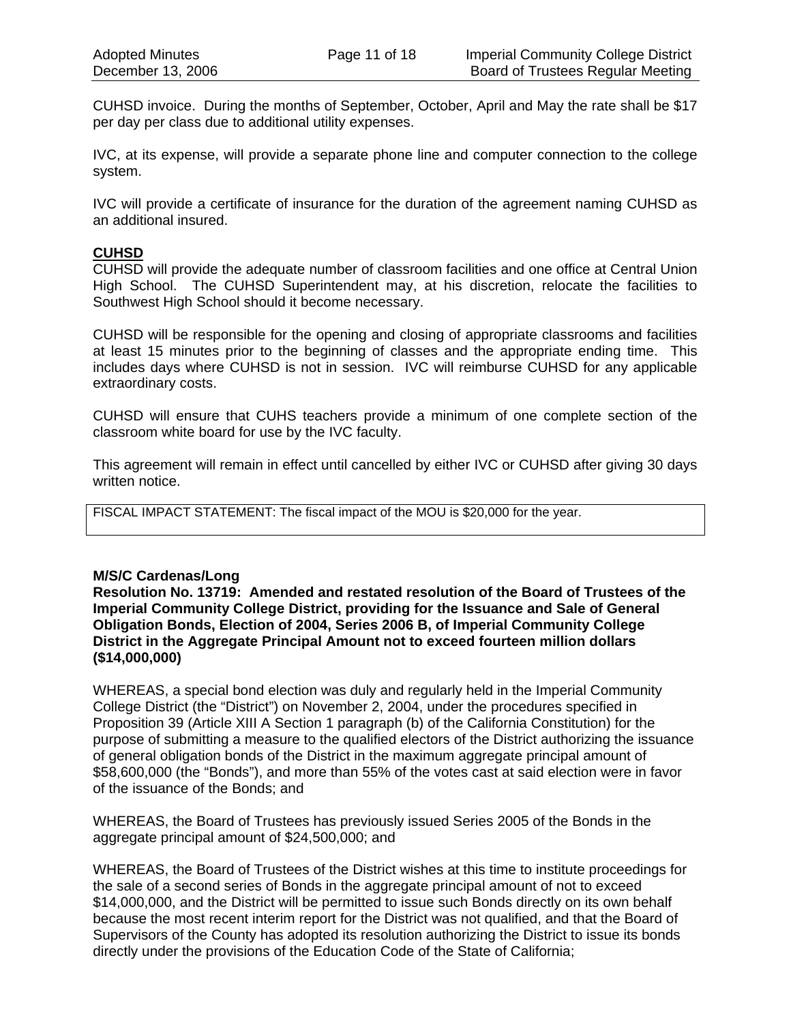CUHSD invoice. During the months of September, October, April and May the rate shall be \$17 per day per class due to additional utility expenses.

IVC, at its expense, will provide a separate phone line and computer connection to the college system.

IVC will provide a certificate of insurance for the duration of the agreement naming CUHSD as an additional insured.

## **CUHSD**

CUHSD will provide the adequate number of classroom facilities and one office at Central Union High School. The CUHSD Superintendent may, at his discretion, relocate the facilities to Southwest High School should it become necessary.

CUHSD will be responsible for the opening and closing of appropriate classrooms and facilities at least 15 minutes prior to the beginning of classes and the appropriate ending time. This includes days where CUHSD is not in session. IVC will reimburse CUHSD for any applicable extraordinary costs.

CUHSD will ensure that CUHS teachers provide a minimum of one complete section of the classroom white board for use by the IVC faculty.

This agreement will remain in effect until cancelled by either IVC or CUHSD after giving 30 days written notice.

FISCAL IMPACT STATEMENT: The fiscal impact of the MOU is \$20,000 for the year.

## **M/S/C Cardenas/Long**

**Resolution No. 13719: Amended and restated resolution of the Board of Trustees of the Imperial Community College District, providing for the Issuance and Sale of General Obligation Bonds, Election of 2004, Series 2006 B, of Imperial Community College District in the Aggregate Principal Amount not to exceed fourteen million dollars (\$14,000,000)** 

WHEREAS, a special bond election was duly and regularly held in the Imperial Community College District (the "District") on November 2, 2004, under the procedures specified in Proposition 39 (Article XIII A Section 1 paragraph (b) of the California Constitution) for the purpose of submitting a measure to the qualified electors of the District authorizing the issuance of general obligation bonds of the District in the maximum aggregate principal amount of \$58,600,000 (the "Bonds"), and more than 55% of the votes cast at said election were in favor of the issuance of the Bonds; and

WHEREAS, the Board of Trustees has previously issued Series 2005 of the Bonds in the aggregate principal amount of \$24,500,000; and

WHEREAS, the Board of Trustees of the District wishes at this time to institute proceedings for the sale of a second series of Bonds in the aggregate principal amount of not to exceed \$14,000,000, and the District will be permitted to issue such Bonds directly on its own behalf because the most recent interim report for the District was not qualified, and that the Board of Supervisors of the County has adopted its resolution authorizing the District to issue its bonds directly under the provisions of the Education Code of the State of California;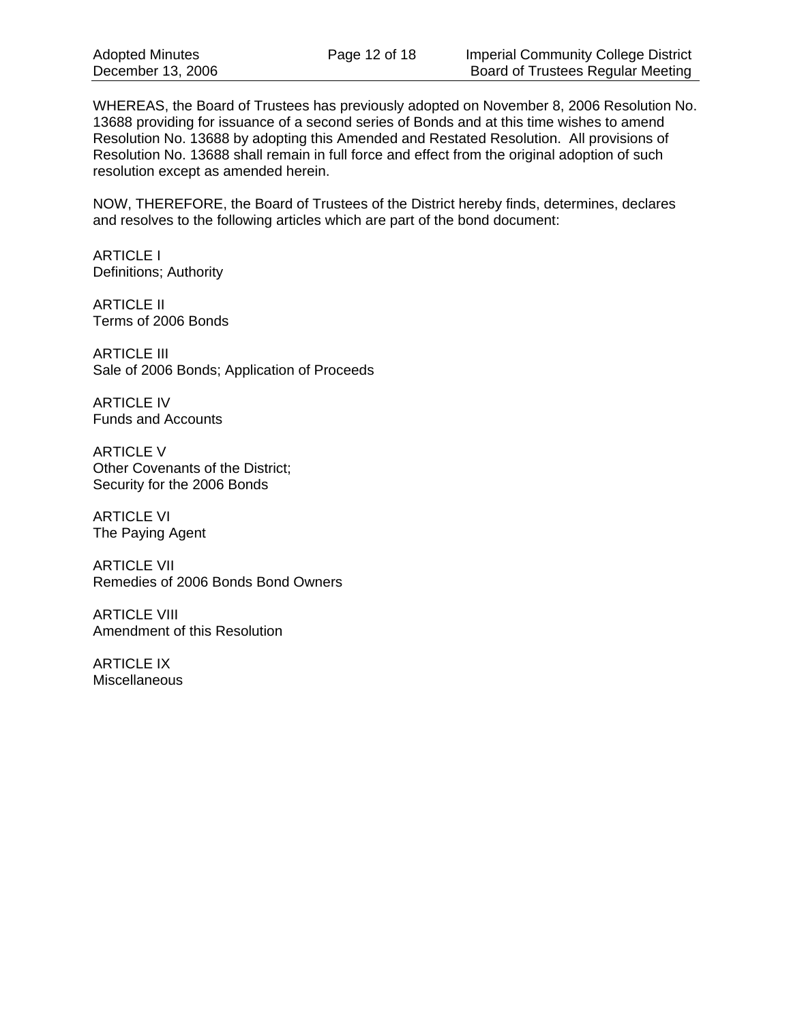WHEREAS, the Board of Trustees has previously adopted on November 8, 2006 Resolution No. 13688 providing for issuance of a second series of Bonds and at this time wishes to amend Resolution No. 13688 by adopting this Amended and Restated Resolution. All provisions of Resolution No. 13688 shall remain in full force and effect from the original adoption of such resolution except as amended herein.

NOW, THEREFORE, the Board of Trustees of the District hereby finds, determines, declares and resolves to the following articles which are part of the bond document:

ARTICLE I Definitions; Authority

ARTICLE II Terms of 2006 Bonds

ARTICLE III Sale of 2006 Bonds; Application of Proceeds

ARTICLE IV Funds and Accounts

ARTICLE V Other Covenants of the District; Security for the 2006 Bonds

ARTICLE VI The Paying Agent

ARTICLE VII Remedies of 2006 Bonds Bond Owners

ARTICLE VIII Amendment of this Resolution

ARTICLE IX Miscellaneous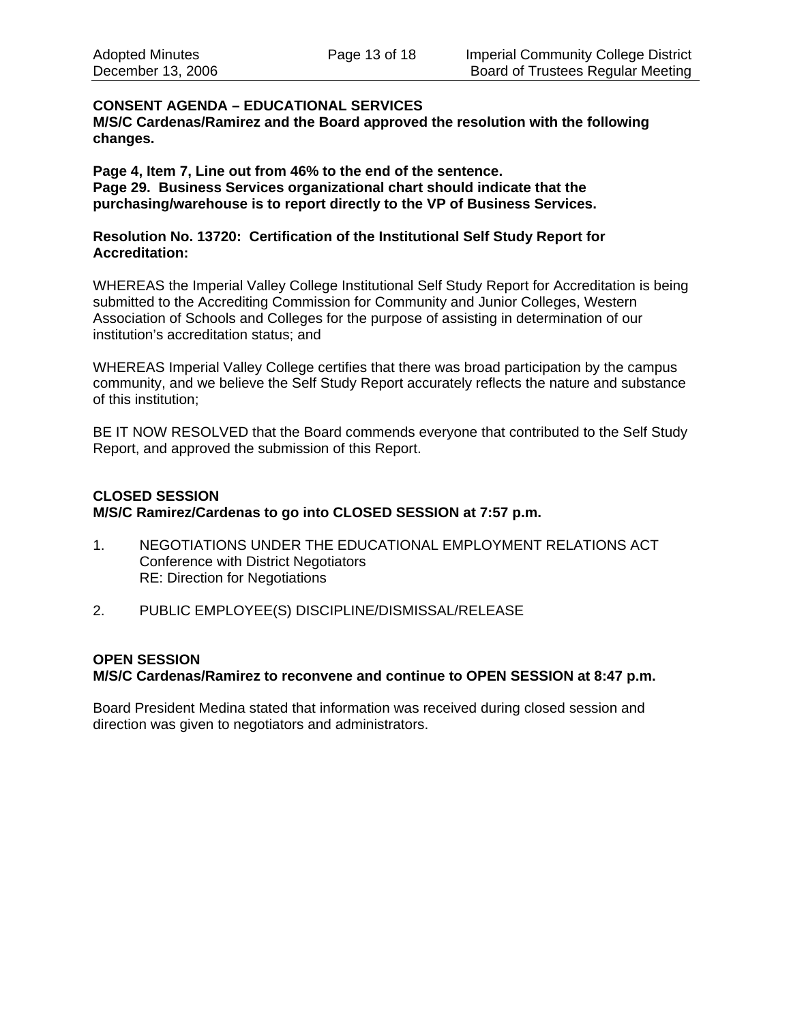# **CONSENT AGENDA – EDUCATIONAL SERVICES**

**M/S/C Cardenas/Ramirez and the Board approved the resolution with the following changes.** 

**Page 4, Item 7, Line out from 46% to the end of the sentence. Page 29. Business Services organizational chart should indicate that the purchasing/warehouse is to report directly to the VP of Business Services.** 

## **Resolution No. 13720: Certification of the Institutional Self Study Report for Accreditation:**

WHEREAS the Imperial Valley College Institutional Self Study Report for Accreditation is being submitted to the Accrediting Commission for Community and Junior Colleges, Western Association of Schools and Colleges for the purpose of assisting in determination of our institution's accreditation status; and

WHEREAS Imperial Valley College certifies that there was broad participation by the campus community, and we believe the Self Study Report accurately reflects the nature and substance of this institution;

BE IT NOW RESOLVED that the Board commends everyone that contributed to the Self Study Report, and approved the submission of this Report.

# **CLOSED SESSION M/S/C Ramirez/Cardenas to go into CLOSED SESSION at 7:57 p.m.**

- 1. NEGOTIATIONS UNDER THE EDUCATIONAL EMPLOYMENT RELATIONS ACT Conference with District Negotiators RE: Direction for Negotiations
- 2. PUBLIC EMPLOYEE(S) DISCIPLINE/DISMISSAL/RELEASE

# **OPEN SESSION**

# **M/S/C Cardenas/Ramirez to reconvene and continue to OPEN SESSION at 8:47 p.m.**

Board President Medina stated that information was received during closed session and direction was given to negotiators and administrators.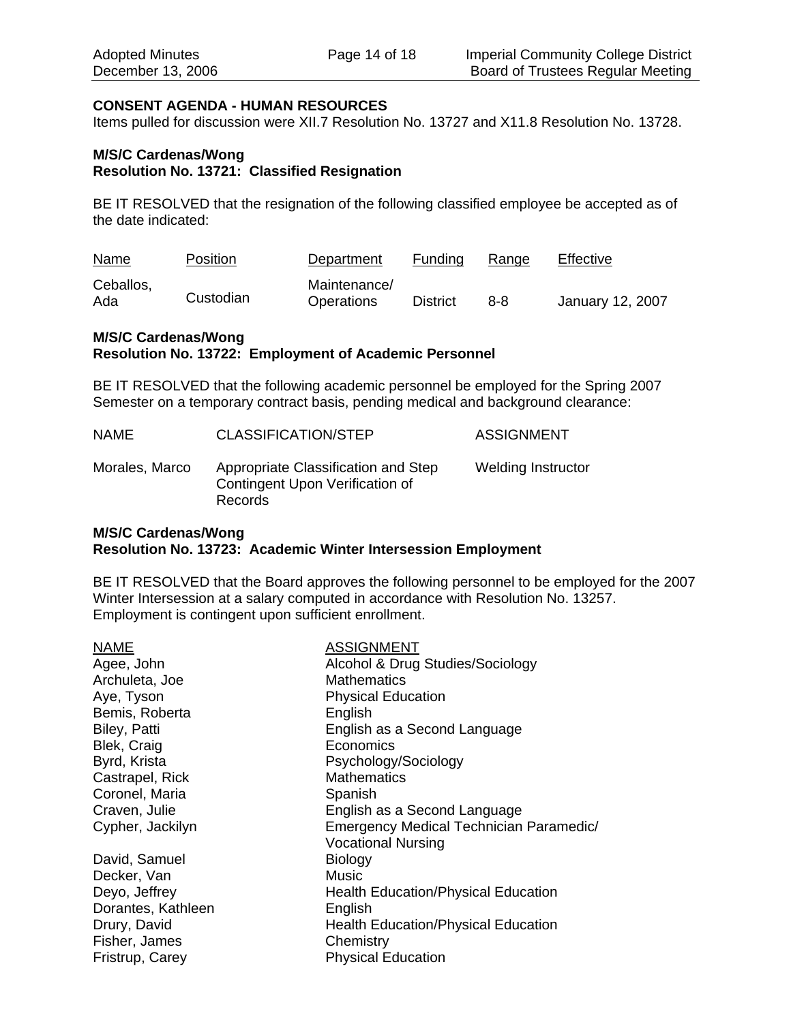#### **CONSENT AGENDA - HUMAN RESOURCES**

Items pulled for discussion were XII.7 Resolution No. 13727 and X11.8 Resolution No. 13728.

#### **M/S/C Cardenas/Wong Resolution No. 13721: Classified Resignation**

BE IT RESOLVED that the resignation of the following classified employee be accepted as of the date indicated:

| <b>Name</b>      | Position  | Department                 | Funding         | Range | Effective        |
|------------------|-----------|----------------------------|-----------------|-------|------------------|
| Ceballos,<br>Ada | Custodian | Maintenance/<br>Operations | <b>District</b> | 8-8   | January 12, 2007 |

## **M/S/C Cardenas/Wong Resolution No. 13722: Employment of Academic Personnel**

BE IT RESOLVED that the following academic personnel be employed for the Spring 2007 Semester on a temporary contract basis, pending medical and background clearance:

| NAME           | CLASSIFICATION/STEP                                                                      | <b>ASSIGNMENT</b>         |
|----------------|------------------------------------------------------------------------------------------|---------------------------|
| Morales, Marco | Appropriate Classification and Step<br>Contingent Upon Verification of<br><b>Records</b> | <b>Welding Instructor</b> |

## **M/S/C Cardenas/Wong Resolution No. 13723: Academic Winter Intersession Employment**

BE IT RESOLVED that the Board approves the following personnel to be employed for the 2007 Winter Intersession at a salary computed in accordance with Resolution No. 13257. Employment is contingent upon sufficient enrollment.

| Alcohol & Drug Studies/Sociology<br>Agee, John<br><b>Mathematics</b><br>Archuleta, Joe<br><b>Physical Education</b><br>Aye, Tyson<br>Bemis, Roberta<br>English<br>Biley, Patti<br>English as a Second Language<br>Blek, Craig<br>Economics<br>Byrd, Krista<br>Psychology/Sociology<br><b>Mathematics</b><br>Castrapel, Rick<br>Coronel, Maria<br>Spanish<br>Craven, Julie<br>English as a Second Language<br>Cypher, Jackilyn<br>Emergency Medical Technician Paramedic/<br><b>Vocational Nursing</b><br>David, Samuel<br>Biology<br>Music<br>Decker, Van<br>Deyo, Jeffrey<br><b>Health Education/Physical Education</b><br>Dorantes, Kathleen<br>English<br>Drury, David<br><b>Health Education/Physical Education</b><br>Fisher, James<br>Chemistry | <b>NAME</b>     | <b>ASSIGNMENT</b>         |
|-------------------------------------------------------------------------------------------------------------------------------------------------------------------------------------------------------------------------------------------------------------------------------------------------------------------------------------------------------------------------------------------------------------------------------------------------------------------------------------------------------------------------------------------------------------------------------------------------------------------------------------------------------------------------------------------------------------------------------------------------------|-----------------|---------------------------|
|                                                                                                                                                                                                                                                                                                                                                                                                                                                                                                                                                                                                                                                                                                                                                       |                 |                           |
|                                                                                                                                                                                                                                                                                                                                                                                                                                                                                                                                                                                                                                                                                                                                                       |                 |                           |
|                                                                                                                                                                                                                                                                                                                                                                                                                                                                                                                                                                                                                                                                                                                                                       |                 |                           |
|                                                                                                                                                                                                                                                                                                                                                                                                                                                                                                                                                                                                                                                                                                                                                       |                 |                           |
|                                                                                                                                                                                                                                                                                                                                                                                                                                                                                                                                                                                                                                                                                                                                                       |                 |                           |
|                                                                                                                                                                                                                                                                                                                                                                                                                                                                                                                                                                                                                                                                                                                                                       |                 |                           |
|                                                                                                                                                                                                                                                                                                                                                                                                                                                                                                                                                                                                                                                                                                                                                       |                 |                           |
|                                                                                                                                                                                                                                                                                                                                                                                                                                                                                                                                                                                                                                                                                                                                                       |                 |                           |
|                                                                                                                                                                                                                                                                                                                                                                                                                                                                                                                                                                                                                                                                                                                                                       |                 |                           |
|                                                                                                                                                                                                                                                                                                                                                                                                                                                                                                                                                                                                                                                                                                                                                       |                 |                           |
|                                                                                                                                                                                                                                                                                                                                                                                                                                                                                                                                                                                                                                                                                                                                                       |                 |                           |
|                                                                                                                                                                                                                                                                                                                                                                                                                                                                                                                                                                                                                                                                                                                                                       |                 |                           |
|                                                                                                                                                                                                                                                                                                                                                                                                                                                                                                                                                                                                                                                                                                                                                       |                 |                           |
|                                                                                                                                                                                                                                                                                                                                                                                                                                                                                                                                                                                                                                                                                                                                                       |                 |                           |
|                                                                                                                                                                                                                                                                                                                                                                                                                                                                                                                                                                                                                                                                                                                                                       |                 |                           |
|                                                                                                                                                                                                                                                                                                                                                                                                                                                                                                                                                                                                                                                                                                                                                       |                 |                           |
|                                                                                                                                                                                                                                                                                                                                                                                                                                                                                                                                                                                                                                                                                                                                                       |                 |                           |
|                                                                                                                                                                                                                                                                                                                                                                                                                                                                                                                                                                                                                                                                                                                                                       |                 |                           |
|                                                                                                                                                                                                                                                                                                                                                                                                                                                                                                                                                                                                                                                                                                                                                       | Fristrup, Carey | <b>Physical Education</b> |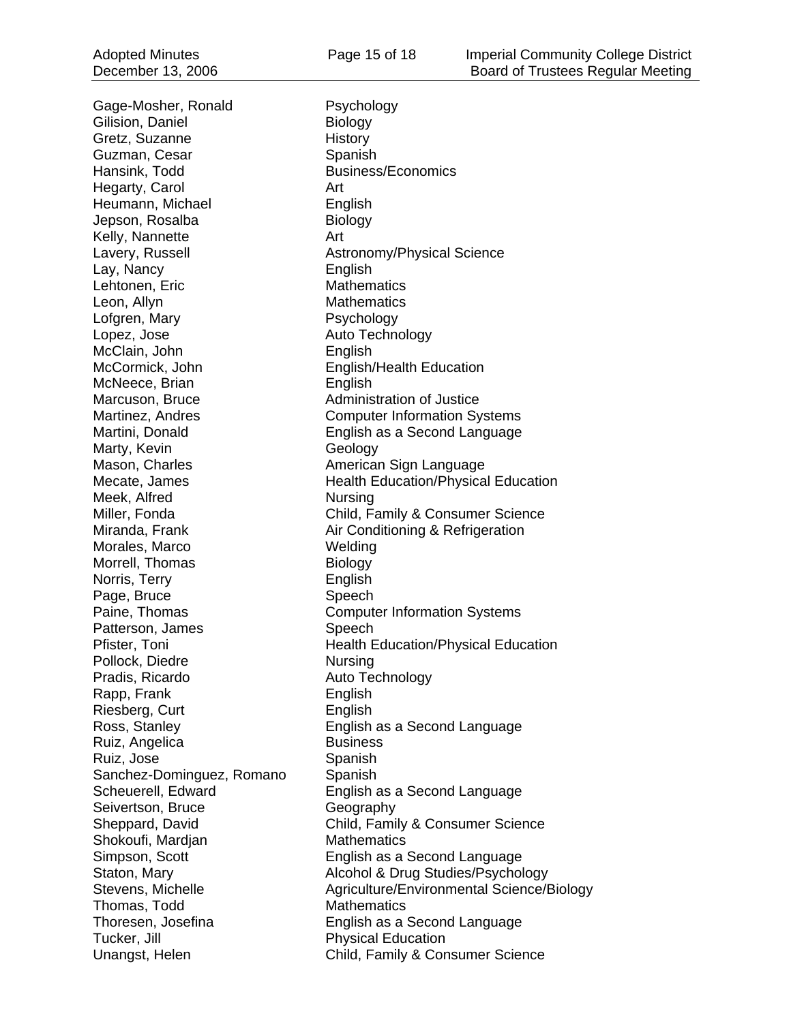Gage-Mosher, Ronald Psychology Gilision, Daniel **Biology** Gretz, Suzanne History Guzman, Cesar Spanish Hansink, Todd Business/Economics Hegarty, Carol **Art** Heumann, Michael **English** Jepson, Rosalba Biology Kelly, Nannette **Art** Lay, Nancy English Lehtonen, Eric Mathematics Leon, Allyn **Mathematics** Lofgren, Mary **Psychology** Lopez, Jose **Auto Technology** McClain, John **English** McCormick, John English/Health Education McNeece, Brian English Marcuson, Bruce **Administration of Justice** Marty, Kevin **Geology** Mason, Charles **American Sign Language** Meek, Alfred Nursing Morales, Marco Welding Morrell, Thomas Biology Norris, Terry **English** Page, Bruce Speech Patterson, James Speech Pollock, Diedre Nursing Pradis, Ricardo Auto Technology Rapp, Frank English Riesberg, Curt **English** Ruiz, Angelica Business Ruiz, Jose Spanish Sanchez-Dominguez, Romano Spanish Seivertson, Bruce Geography Shokoufi, Mardjan Mathematics Thomas, Todd Mathematics Tucker, Jill **Tucker**, Jill **Physical Education** 

Lavery, Russell **Astronomy/Physical Science** Martinez, Andres Computer Information Systems Martini, Donald English as a Second Language Mecate, James **Health Education/Physical Education** Miller, Fonda Child, Family & Consumer Science Miranda, Frank **Air Conditioning & Refrigeration** Paine, Thomas **Computer Information Systems** Pfister, Toni **Health Education/Physical Education** Ross, Stanley English as a Second Language Scheuerell, Edward English as a Second Language Sheppard, David Child, Family & Consumer Science Simpson, Scott English as a Second Language Staton, Mary **Alcohol & Drug Studies/Psychology** Stevens, Michelle **Agriculture/Environmental Science/Biology** Thoresen, Josefina English as a Second Language Unangst, Helen Child, Family & Consumer Science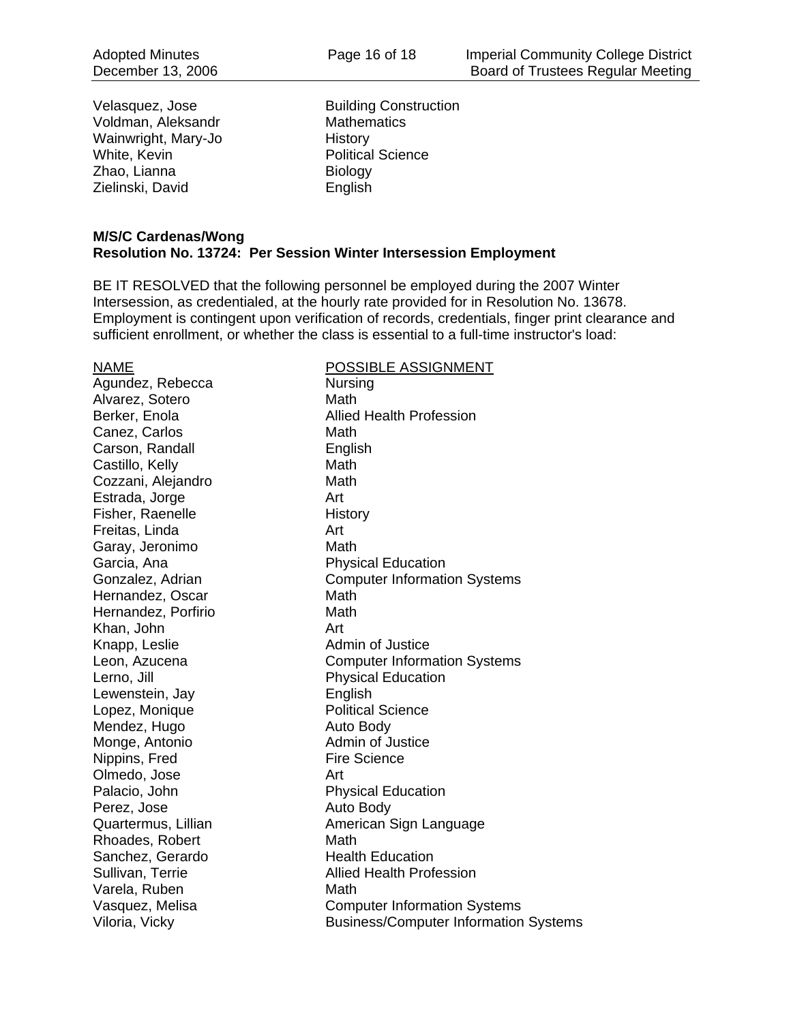Velasquez, Jose Building Construction Voldman, Aleksandr Mathematics Wainwright, Mary-Jo History White, Kevin **Political Science** Zhao, Lianna Biology Zielinski, David **English** 

#### **M/S/C Cardenas/Wong Resolution No. 13724: Per Session Winter Intersession Employment**

BE IT RESOLVED that the following personnel be employed during the 2007 Winter Intersession, as credentialed, at the hourly rate provided for in Resolution No. 13678. Employment is contingent upon verification of records, credentials, finger print clearance and sufficient enrollment, or whether the class is essential to a full-time instructor's load:

Agundez, Rebecca Nursing Alvarez, Sotero **Math** Canez, Carlos **Math** Carson, Randall **English** Castillo, Kelly **Math** Cozzani, Alejandro Math Estrada, Jorge **Art** Fisher, Raenelle History Freitas, Linda **Art** Garay, Jeronimo Math Garcia, Ana **Physical Education** Hernandez, Oscar **Math** Hernandez, Porfirio **Math** Khan, John Art Knapp, Leslie **Admin of Justice** Lerno, Jill **Drawing Communist Physical Education** Lewenstein, Jay **English** Lopez, Monique **Political Science** Mendez, Hugo **Auto Body** Monge, Antonio **Admin of Justice** Nippins, Fred Fire Science Olmedo, Jose Art Palacio, John Physical Education Perez, Jose Auto Body Rhoades, Robert Math Sanchez, Gerardo Health Education Varela, Ruben Math

## NAME POSSIBLE ASSIGNMENT

Berker, Enola **Allied Health Profession** Gonzalez, Adrian **Computer Information Systems** Leon, Azucena Computer Information Systems Quartermus, Lillian **American Sign Language** Sullivan, Terrie **Allied Health Profession** Vasquez, Melisa Computer Information Systems Viloria, Vicky **Business/Computer Information Systems**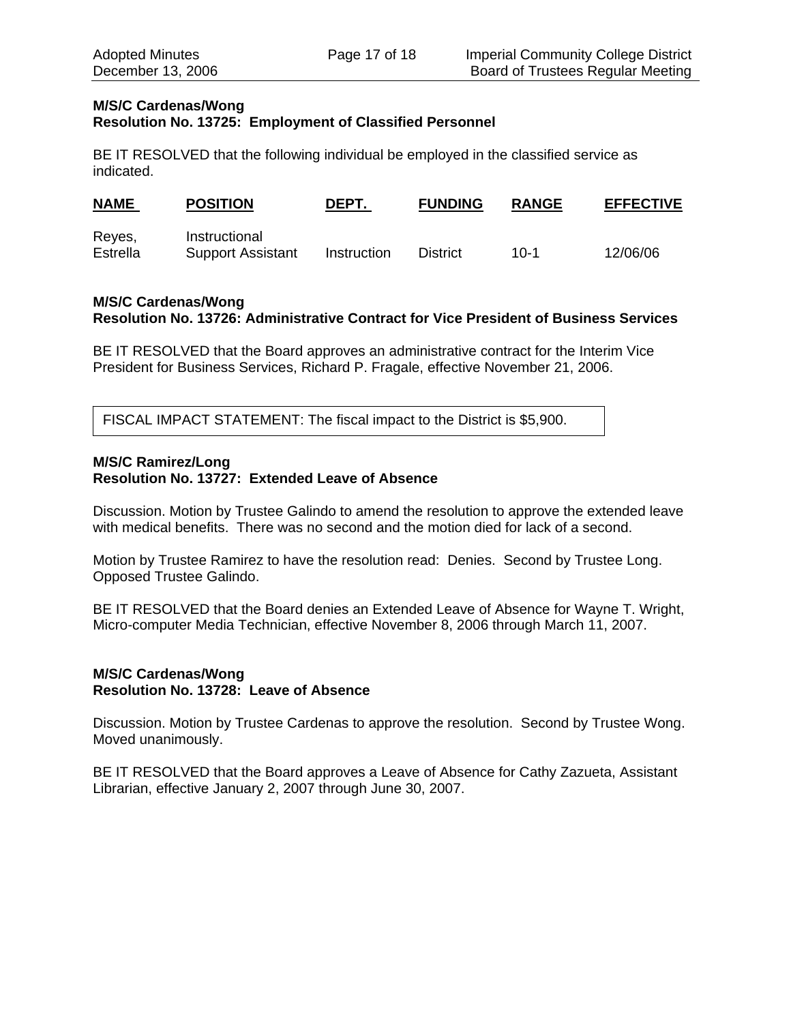#### **M/S/C Cardenas/Wong Resolution No. 13725: Employment of Classified Personnel**

BE IT RESOLVED that the following individual be employed in the classified service as indicated.

| <b>NAME</b>        | <b>POSITION</b>                           | DEPT.       | <b>FUNDING</b> | <b>RANGE</b> | <b>EFFECTIVE</b> |
|--------------------|-------------------------------------------|-------------|----------------|--------------|------------------|
| Reyes,<br>Estrella | Instructional<br><b>Support Assistant</b> | Instruction | District       | $10 - 1$     | 12/06/06         |

# **M/S/C Cardenas/Wong Resolution No. 13726: Administrative Contract for Vice President of Business Services**

BE IT RESOLVED that the Board approves an administrative contract for the Interim Vice President for Business Services, Richard P. Fragale, effective November 21, 2006.

FISCAL IMPACT STATEMENT: The fiscal impact to the District is \$5,900.

#### **M/S/C Ramirez/Long Resolution No. 13727: Extended Leave of Absence**

Discussion. Motion by Trustee Galindo to amend the resolution to approve the extended leave with medical benefits. There was no second and the motion died for lack of a second.

Motion by Trustee Ramirez to have the resolution read: Denies. Second by Trustee Long. Opposed Trustee Galindo.

BE IT RESOLVED that the Board denies an Extended Leave of Absence for Wayne T. Wright, Micro-computer Media Technician, effective November 8, 2006 through March 11, 2007.

## **M/S/C Cardenas/Wong Resolution No. 13728: Leave of Absence**

Discussion. Motion by Trustee Cardenas to approve the resolution. Second by Trustee Wong. Moved unanimously.

BE IT RESOLVED that the Board approves a Leave of Absence for Cathy Zazueta, Assistant Librarian, effective January 2, 2007 through June 30, 2007.